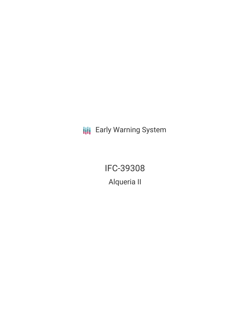**III** Early Warning System

IFC-39308 Alqueria II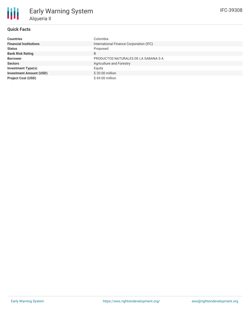

## **Quick Facts**

| <b>Countries</b>               | Colombia                                |
|--------------------------------|-----------------------------------------|
| <b>Financial Institutions</b>  | International Finance Corporation (IFC) |
| <b>Status</b>                  | Proposed                                |
| <b>Bank Risk Rating</b>        | B                                       |
| <b>Borrower</b>                | PRODUCTOS NATURALES DE LA SABANA S A    |
| <b>Sectors</b>                 | Agriculture and Forestry                |
| <b>Investment Type(s)</b>      | Equity                                  |
| <b>Investment Amount (USD)</b> | \$20.00 million                         |
| <b>Project Cost (USD)</b>      | \$69.00 million                         |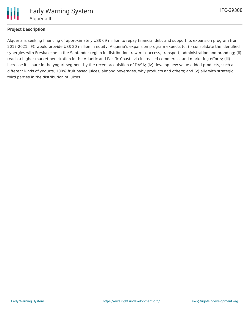

## **Project Description**

Alqueria is seeking financing of approximately US\$ 69 million to repay financial debt and support its expansion program from 2017-2021. IFC would provide US\$ 20 million in equity, Alqueria's expansion program expects to: (i) consolidate the identified synergies with Freskaleche in the Santander region in distribution, raw milk access, transport, administration and branding; (ii) reach a higher market penetration in the Atlantic and Pacific Coasts via increased commercial and marketing efforts; (iii) increase its share in the yogurt segment by the recent acquisition of DASA; (iv) develop new value added products, such as different kinds of yogurts, 100% fruit based juices, almond beverages, why products and others; and (v) ally with strategic third parties in the distribution of juices.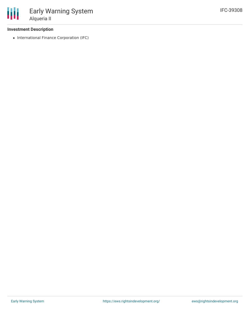## **Investment Description**

• International Finance Corporation (IFC)